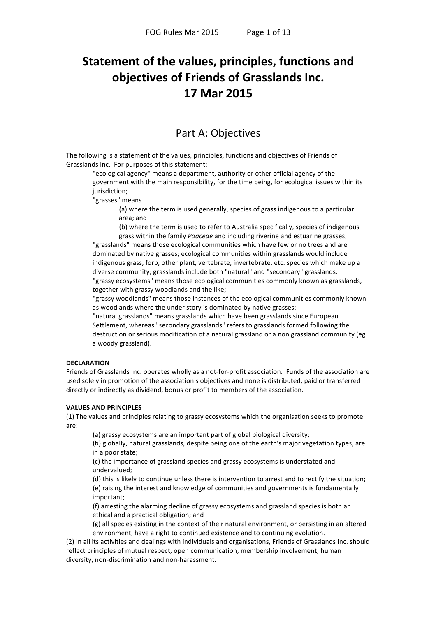# Statement of the values, principles, functions and objectives of Friends of Grasslands Inc. 17 Mar 2015

## **Part A: Objectives**

The following is a statement of the values, principles, functions and objectives of Friends of Grasslands Inc. For purposes of this statement:

"ecological agency" means a department, authority or other official agency of the government with the main responsibility, for the time being, for ecological issues within its jurisdiction;

"grasses" means

(a) where the term is used generally, species of grass indigenous to a particular area; and

(b) where the term is used to refer to Australia specifically, species of indigenous grass within the family Poaceae and including riverine and estuarine grasses;

"grasslands" means those ecological communities which have few or no trees and are dominated by native grasses; ecological communities within grasslands would include indigenous grass, forb, other plant, vertebrate, invertebrate, etc. species which make up a diverse community; grasslands include both "natural" and "secondary" grasslands. "grassy ecosystems" means those ecological communities commonly known as grasslands, together with grassy woodlands and the like;

"grassy woodlands" means those instances of the ecological communities commonly known as woodlands where the under story is dominated by native grasses;

"natural grasslands" means grasslands which have been grasslands since European Settlement, whereas "secondary grasslands" refers to grasslands formed following the destruction or serious modification of a natural grassland or a non grassland community (eg a woody grassland).

### **DECLARATION**

Friends of Grasslands Inc. operates wholly as a not-for-profit association. Funds of the association are used solely in promotion of the association's objectives and none is distributed, paid or transferred directly or indirectly as dividend, bonus or profit to members of the association.

### **VALUES AND PRINCIPLES**

(1) The values and principles relating to grassy ecosystems which the organisation seeks to promote are:

(a) grassy ecosystems are an important part of global biological diversity;

(b) globally, natural grasslands, despite being one of the earth's major vegetation types, are in a poor state;

(c) the importance of grassland species and grassy ecosystems is understated and undervalued;

(d) this is likely to continue unless there is intervention to arrest and to rectify the situation: (e) raising the interest and knowledge of communities and governments is fundamentally important;

(f) arresting the alarming decline of grassy ecosystems and grassland species is both an ethical and a practical obligation; and

(g) all species existing in the context of their natural environment, or persisting in an altered environment, have a right to continued existence and to continuing evolution.

(2) In all its activities and dealings with individuals and organisations, Friends of Grasslands Inc. should reflect principles of mutual respect, open communication, membership involvement, human diversity, non-discrimination and non-harassment.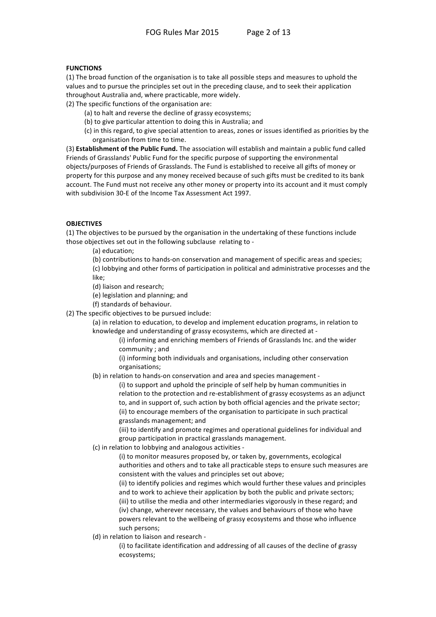### **FUNCTIONS**

(1) The broad function of the organisation is to take all possible steps and measures to uphold the values and to pursue the principles set out in the preceding clause, and to seek their application throughout Australia and, where practicable, more widely.

(2) The specific functions of the organisation are:

- (a) to halt and reverse the decline of grassy ecosystems;
- (b) to give particular attention to doing this in Australia; and
- (c) in this regard, to give special attention to areas, zones or issues identified as priorities by the organisation from time to time.

(3) Establishment of the Public Fund. The association will establish and maintain a public fund called Friends of Grasslands' Public Fund for the specific purpose of supporting the environmental objects/purposes of Friends of Grasslands. The Fund is established to receive all gifts of money or property for this purpose and any money received because of such gifts must be credited to its bank account. The Fund must not receive any other money or property into its account and it must comply with subdivision 30-E of the Income Tax Assessment Act 1997.

### **OBJECTIVES**

(1) The objectives to be pursued by the organisation in the undertaking of these functions include those objectives set out in the following subclause relating to -

(a) education;

(b) contributions to hands-on conservation and management of specific areas and species; (c) lobbying and other forms of participation in political and administrative processes and the like:

- (d) liaison and research;
- (e) legislation and planning; and
- (f) standards of behaviour.
- (2) The specific objectives to be pursued include:

(a) in relation to education, to develop and implement education programs, in relation to knowledge and understanding of grassy ecosystems, which are directed at -

> (i) informing and enriching members of Friends of Grasslands Inc. and the wider community; and

(i) informing both individuals and organisations, including other conservation organisations;

(b) in relation to hands-on conservation and area and species management -

(i) to support and uphold the principle of self help by human communities in relation to the protection and re-establishment of grassy ecosystems as an adjunct to, and in support of, such action by both official agencies and the private sector; (ii) to encourage members of the organisation to participate in such practical grasslands management; and

(iii) to identify and promote regimes and operational guidelines for individual and group participation in practical grasslands management.

(c) in relation to lobbying and analogous activities -

(i) to monitor measures proposed by, or taken by, governments, ecological authorities and others and to take all practicable steps to ensure such measures are consistent with the values and principles set out above;

(ii) to identify policies and regimes which would further these values and principles and to work to achieve their application by both the public and private sectors; (iii) to utilise the media and other intermediaries vigorously in these regard; and (iv) change, wherever necessary, the values and behaviours of those who have powers relevant to the wellbeing of grassy ecosystems and those who influence such persons;

(d) in relation to liaison and research -

(i) to facilitate identification and addressing of all causes of the decline of grassy ecosystems;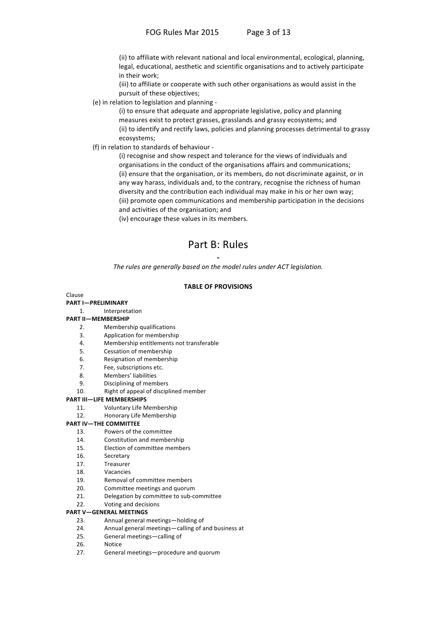(ii) to affiliate with relevant national and local environmental, ecological, planning, legal, educational, aesthetic and scientific organisations and to actively participate in their work;

(iii) to affiliate or cooperate with such other organisations as would assist in the pursuit of these objectives;

(e) in relation to legislation and planning -

(i) to ensure that adequate and appropriate legislative, policy and planning measures exist to protect grasses, grasslands and grassy ecosystems; and (ii) to identify and rectify laws, policies and planning processes detrimental to grassy ecosystems;

(f) in relation to standards of behaviour -

(i) recognise and show respect and tolerance for the views of individuals and organisations in the conduct of the organisations affairs and communications; (ii) ensure that the organisation, or its members, do not discriminate against, or in any way harass, individuals and, to the contrary, recognise the richness of human diversity and the contribution each individual may make in his or her own way; (iii) promote open communications and membership participation in the decisions and activities of the organisation; and

(iv) encourage these values in its members.

## Part B: Rules

The rules are generally based on the model rules under ACT legislation.

### **TABLE OF PROVISIONS**

#### Clause

#### **PART I-PRELIMINARY**

Interpretation  $\mathbf{1}$ 

#### **PART II-MEMBERSHIP**

- Membership qualifications  $\mathcal{L}$
- $\mathbf{R}$ Application for membership
- Membership entitlements not transferable  $4.$
- $5.$ Cessation of membership
- 6. Resignation of membership
- 7. Fee, subscriptions etc.
- $\mathsf{R}$ Members' liabilities
- $\mathsf{q}$ Disciplining of members
- $10<sub>1</sub>$ Right of appeal of disciplined member

#### **PART III-LIFE MEMBERSHIPS**

- **Voluntary Life Membership**  $11$
- $12.$ Honorary Life Membership

#### **PART IV-THE COMMITTEE**

- Powers of the committee  $13$
- 14. Constitution and membership
- 15. Election of committee members
- 16. Secretary
- $17$ Treasurer
- 18 Vacancies
- 19 Removal of committee members
- $20<sub>1</sub>$ Committee meetings and quorum
- $21.$ Delegation by committee to sub-committee
- $22.$ Voting and decisions

#### **PART V-GENERAL MEETINGS**

- Annual general meetings-holding of  $23$
- 24. Annual general meetings-calling of and business at
- $25$ General meetings-calling of
- 26. Notice
- $27.$ General meetings-procedure and quorum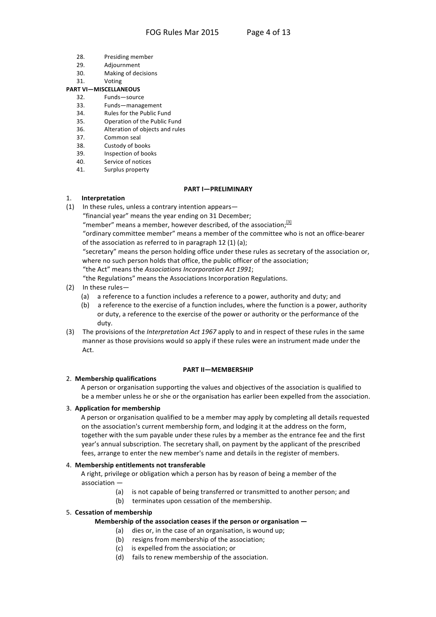- 28. Presiding member
- $29$ Adjournment
- $30<sup>2</sup>$ Making of decisions
- $31$ Voting

## **PART VI-MISCELLANEOUS**

- Funds-source 32
- 33. Funds-management
- $34$ Rules for the Public Fund 35
- Operation of the Public Fund 36. Alteration of objects and rules
- 37. Common seal
- 38. Custody of books
- 39. Inspection of books
- 40 Service of notices
- $41.$ Surplus property

#### **PART I-PRELIMINARY**

#### Interpretation  $1<sub>1</sub>$

 $(1)$  In these rules, unless a contrary intention appears—

"financial year" means the year ending on 31 December;

"member" means a member, however described, of the association;  $31$ 

"ordinary committee member" means a member of the committee who is not an office-bearer of the association as referred to in paragraph 12 (1) (a);

"secretary" means the person holding office under these rules as secretary of the association or, where no such person holds that office, the public officer of the association;

"the Act" means the Associations Incorporation Act 1991;

"the Regulations" means the Associations Incorporation Regulations.

- (2) In these rules-
	- (a) a reference to a function includes a reference to a power, authority and duty; and
	- (b) a reference to the exercise of a function includes, where the function is a power, authority or duty, a reference to the exercise of the power or authority or the performance of the duty.
- (3) The provisions of the Interpretation Act 1967 apply to and in respect of these rules in the same manner as those provisions would so apply if these rules were an instrument made under the Act.

#### **PART II-MEMBERSHIP**

### 2. Membership qualifications

A person or organisation supporting the values and objectives of the association is qualified to be a member unless he or she or the organisation has earlier been expelled from the association.

### 3. Application for membership

A person or organisation qualified to be a member may apply by completing all details requested on the association's current membership form, and lodging it at the address on the form, together with the sum payable under these rules by a member as the entrance fee and the first year's annual subscription. The secretary shall, on payment by the applicant of the prescribed fees, arrange to enter the new member's name and details in the register of members.

### 4. Membership entitlements not transferable

A right, privilege or obligation which a person has by reason of being a member of the association -

- is not capable of being transferred or transmitted to another person; and (a)
- (b) terminates upon cessation of the membership.

### 5. Cessation of membership

### Membership of the association ceases if the person or organisation  $-$

- (a) dies or, in the case of an organisation, is wound up;
- (b) resigns from membership of the association;
- (c) is expelled from the association; or
- (d) fails to renew membership of the association.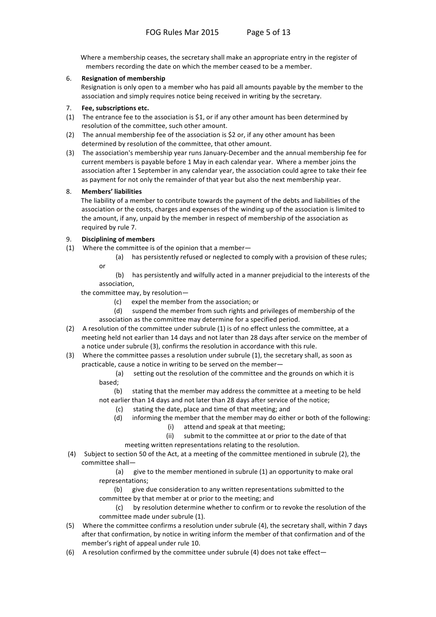Where a membership ceases, the secretary shall make an appropriate entry in the register of members recording the date on which the member ceased to be a member.

### 6. **Resignation of membership**

Resignation is only open to a member who has paid all amounts payable by the member to the association and simply requires notice being received in writing by the secretary.

### 7. **Fee, subscriptions etc.**

- (1) The entrance fee to the association is \$1, or if any other amount has been determined by resolution of the committee, such other amount.
- (2) The annual membership fee of the association is \$2 or, if any other amount has been determined by resolution of the committee, that other amount.
- (3) The association's membership year runs January-December and the annual membership fee for current members is payable before 1 May in each calendar year. Where a member joins the association after 1 September in any calendar year, the association could agree to take their fee as payment for not only the remainder of that year but also the next membership year.

### 8. **Members' liabilities**

The liability of a member to contribute towards the payment of the debts and liabilities of the association or the costs, charges and expenses of the winding up of the association is limited to the amount, if any, unpaid by the member in respect of membership of the association as required by rule 7.

### 9. **Disciplining of members**

- (1) Where the committee is of the opinion that a member-
	- (a) has persistently refused or neglected to comply with a provision of these rules;
	- or

(b) has persistently and wilfully acted in a manner prejudicial to the interests of the association,

the committee may, by resolution—

- $(c)$  expel the member from the association; or
- (d) suspend the member from such rights and privileges of membership of the association as the committee may determine for a specified period.
- (2) A resolution of the committee under subrule (1) is of no effect unless the committee, at a meeting held not earlier than 14 days and not later than 28 days after service on the member of a notice under subrule (3), confirms the resolution in accordance with this rule.
- (3) Where the committee passes a resolution under subrule (1), the secretary shall, as soon as practicable, cause a notice in writing to be served on the member—
	- (a) setting out the resolution of the committee and the grounds on which it is based;
	- (b) stating that the member may address the committee at a meeting to be held not earlier than 14 days and not later than 28 days after service of the notice;
		- $(c)$  stating the date, place and time of that meeting; and
		- (d) informing the member that the member may do either or both of the following:
			- (i) attend and speak at that meeting;
			- (ii) submit to the committee at or prior to the date of that

meeting written representations relating to the resolution.

(4) Subject to section 50 of the Act, at a meeting of the committee mentioned in subrule (2), the committee shall-

> $(a)$  give to the member mentioned in subrule (1) an opportunity to make oral representations;

(b) give due consideration to any written representations submitted to the committee by that member at or prior to the meeting; and

(c) by resolution determine whether to confirm or to revoke the resolution of the committee made under subrule (1).

- (5) Where the committee confirms a resolution under subrule (4), the secretary shall, within 7 days after that confirmation, by notice in writing inform the member of that confirmation and of the member's right of appeal under rule 10.
- (6) A resolution confirmed by the committee under subrule (4) does not take effect—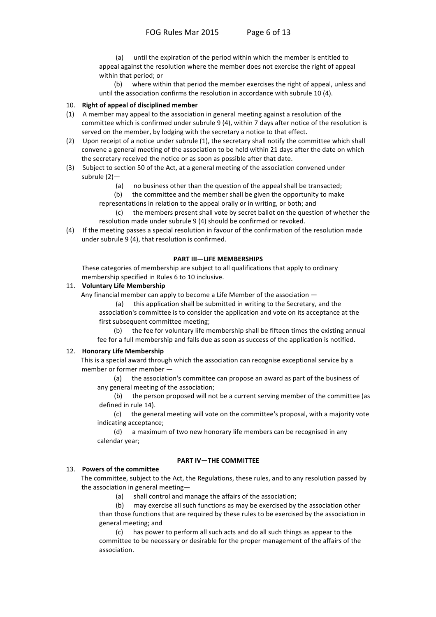until the expiration of the period within which the member is entitled to  $(a)$ appeal against the resolution where the member does not exercise the right of appeal within that period; or

where within that period the member exercises the right of appeal, unless and  $(b)$ until the association confirms the resolution in accordance with subrule 10 (4).

#### 10. Right of appeal of disciplined member

- (1) A member may appeal to the association in general meeting against a resolution of the committee which is confirmed under subrule 9 (4), within 7 days after notice of the resolution is served on the member, by lodging with the secretary a notice to that effect.
- (2) Upon receipt of a notice under subrule (1), the secretary shall notify the committee which shall convene a general meeting of the association to be held within 21 days after the date on which the secretary received the notice or as soon as possible after that date.
- (3) Subject to section 50 of the Act, at a general meeting of the association convened under subrule  $(2)$ 
	- no business other than the question of the appeal shall be transacted;  $(a)$
	- $(b)$ the committee and the member shall be given the opportunity to make
	- representations in relation to the appeal orally or in writing, or both; and
	- the members present shall vote by secret ballot on the question of whether the  $(c)$ resolution made under subrule 9 (4) should be confirmed or revoked.
- (4) If the meeting passes a special resolution in favour of the confirmation of the resolution made under subrule 9 (4), that resolution is confirmed.

#### **PART III-LIFE MEMBERSHIPS**

These categories of membership are subject to all qualifications that apply to ordinary membership specified in Rules 6 to 10 inclusive.

#### 11. Voluntary Life Membership

Any financial member can apply to become a Life Member of the association -

 $(a)$ this application shall be submitted in writing to the Secretary, and the association's committee is to consider the application and vote on its acceptance at the first subsequent committee meeting;

 $(b)$ the fee for voluntary life membership shall be fifteen times the existing annual fee for a full membership and falls due as soon as success of the application is notified.

#### 12. Honorary Life Membership

This is a special award through which the association can recognise exceptional service by a member or former member -

the association's committee can propose an award as part of the business of  $(a)$ any general meeting of the association;

the person proposed will not be a current serving member of the committee (as  $(b)$ defined in rule 14).

 $(c)$ the general meeting will vote on the committee's proposal, with a majority vote indicating acceptance;

a maximum of two new honorary life members can be recognised in any  $(d)$ calendar year;

### **PART IV-THE COMMITTEE**

## 13. Powers of the committee

The committee, subject to the Act, the Regulations, these rules, and to any resolution passed by the association in general meeting-

> $(a)$ shall control and manage the affairs of the association;

 $(b)$ may exercise all such functions as may be exercised by the association other than those functions that are required by these rules to be exercised by the association in general meeting; and

has power to perform all such acts and do all such things as appear to the committee to be necessary or desirable for the proper management of the affairs of the association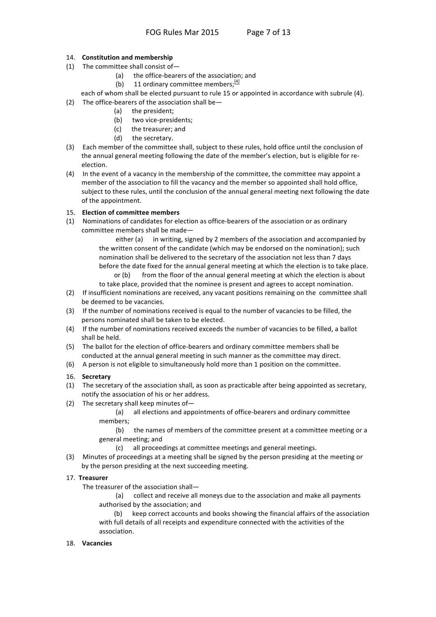### 14. Constitution and membership

- (1) The committee shall consist of-
	- $(a)$ the office-bearers of the association; and
	- 11 ordinary committee members; $\frac{[4]}{[4]}$  $(b)$

each of whom shall be elected pursuant to rule 15 or appointed in accordance with subrule (4). (2) The office-bearers of the association shall be-

- $(a)$ the president;
- (b) two vice-presidents;
- (c) the treasurer; and
- (d) the secretary.
- (3) Each member of the committee shall, subject to these rules, hold office until the conclusion of the annual general meeting following the date of the member's election, but is eligible for reelection.
- (4) In the event of a vacancy in the membership of the committee, the committee may appoint a member of the association to fill the vacancy and the member so appointed shall hold office, subject to these rules, until the conclusion of the annual general meeting next following the date of the appointment.

### 15. Election of committee members

(1) Nominations of candidates for election as office-bearers of the association or as ordinary committee members shall be made-

> in writing, signed by 2 members of the association and accompanied by either (a) the written consent of the candidate (which may be endorsed on the nomination); such nomination shall be delivered to the secretary of the association not less than 7 days before the date fixed for the annual general meeting at which the election is to take place.

> from the floor of the annual general meeting at which the election is about  $or (b)$ to take place, provided that the nominee is present and agrees to accept nomination.

- (2) If insufficient nominations are received, any vacant positions remaining on the committee shall be deemed to be vacancies.
- (3) If the number of nominations received is equal to the number of vacancies to be filled, the persons nominated shall be taken to be elected.
- (4) If the number of nominations received exceeds the number of vacancies to be filled, a ballot shall be held.
- (5) The ballot for the election of office-bearers and ordinary committee members shall be conducted at the annual general meeting in such manner as the committee may direct.
- (6) A person is not eligible to simultaneously hold more than 1 position on the committee.

### 16. Secretary

- (1) The secretary of the association shall, as soon as practicable after being appointed as secretary, notify the association of his or her address.
- (2) The secretary shall keep minutes of-

all elections and appointments of office-bearers and ordinary committee  $(a)$ members;

 $(b)$ the names of members of the committee present at a committee meeting or a general meeting; and

all proceedings at committee meetings and general meetings.  $(c)$ 

(3) Minutes of proceedings at a meeting shall be signed by the person presiding at the meeting or by the person presiding at the next succeeding meeting.

### 17. Treasurer

The treasurer of the association shall-

(a) collect and receive all moneys due to the association and make all payments authorised by the association; and

keep correct accounts and books showing the financial affairs of the association with full details of all receipts and expenditure connected with the activities of the association.

### 18. Vacancies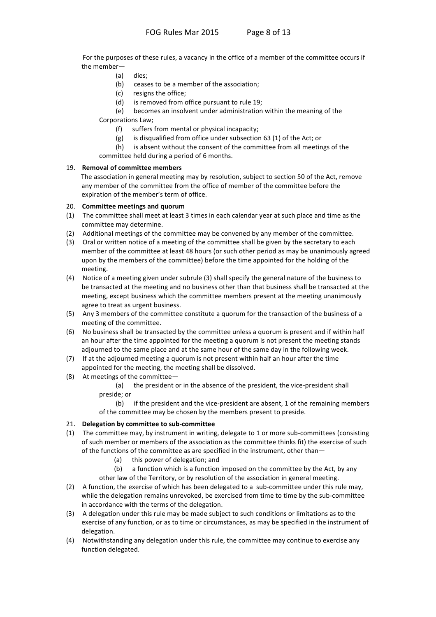For the purposes of these rules, a vacancy in the office of a member of the committee occurs if the member-

- $(a)$ dies;
- (b) ceases to be a member of the association;
- (c) resigns the office;
- is removed from office pursuant to rule 19;  $(d)$

 $(e)$ becomes an insolvent under administration within the meaning of the Corporations Law;

- suffers from mental or physical incapacity;  $(f)$
- is disqualified from office under subsection 63 (1) of the Act; or  $(g)$
- is absent without the consent of the committee from all meetings of the  $(h)$ committee held during a period of 6 months.

### 19. Removal of committee members

The association in general meeting may by resolution, subject to section 50 of the Act, remove any member of the committee from the office of member of the committee before the expiration of the member's term of office.

### 20. Committee meetings and quorum

- (1) The committee shall meet at least 3 times in each calendar year at such place and time as the committee may determine.
- (2) Additional meetings of the committee may be convened by any member of the committee.
- (3) Oral or written notice of a meeting of the committee shall be given by the secretary to each member of the committee at least 48 hours (or such other period as may be unanimously agreed upon by the members of the committee) before the time appointed for the holding of the meeting.
- (4) Notice of a meeting given under subrule (3) shall specify the general nature of the business to be transacted at the meeting and no business other than that business shall be transacted at the meeting, except business which the committee members present at the meeting unanimously agree to treat as urgent business.
- (5) Any 3 members of the committee constitute a guorum for the transaction of the business of a meeting of the committee.
- (6) No business shall be transacted by the committee unless a quorum is present and if within half an hour after the time appointed for the meeting a quorum is not present the meeting stands adjourned to the same place and at the same hour of the same day in the following week.
- (7) If at the adjourned meeting a quorum is not present within half an hour after the time appointed for the meeting, the meeting shall be dissolved.
- (8) At meetings of the committee-

the president or in the absence of the president, the vice-president shall (a) preside; or

if the president and the vice-president are absent, 1 of the remaining members  $(b)$ of the committee may be chosen by the members present to preside.

### 21. Delegation by committee to sub-committee

- (1) The committee may, by instrument in writing, delegate to 1 or more sub-committees (consisting of such member or members of the association as the committee thinks fit) the exercise of such of the functions of the committee as are specified in the instrument, other than-
	- (a) this power of delegation; and
	- $(b)$ a function which is a function imposed on the committee by the Act, by any other law of the Territory, or by resolution of the association in general meeting.
- (2) A function, the exercise of which has been delegated to a sub-committee under this rule may, while the delegation remains unrevoked, be exercised from time to time by the sub-committee in accordance with the terms of the delegation.
- (3) A delegation under this rule may be made subject to such conditions or limitations as to the exercise of any function, or as to time or circumstances, as may be specified in the instrument of delegation.
- (4) Notwithstanding any delegation under this rule, the committee may continue to exercise any function delegated.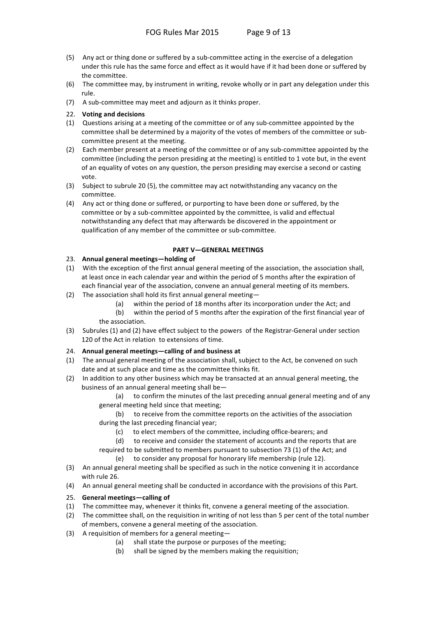- (5) Any act or thing done or suffered by a sub-committee acting in the exercise of a delegation under this rule has the same force and effect as it would have if it had been done or suffered by the committee.
- (6) The committee may, by instrument in writing, revoke wholly or in part any delegation under this rule.
- (7) A sub-committee may meet and adjourn as it thinks proper.
- 22. Voting and decisions
- (1) Questions arising at a meeting of the committee or of any sub-committee appointed by the committee shall be determined by a majority of the votes of members of the committee or subcommittee present at the meeting.
- (2) Each member present at a meeting of the committee or of any sub-committee appointed by the committee (including the person presiding at the meeting) is entitled to 1 vote but, in the event of an equality of votes on any question, the person presiding may exercise a second or casting vote.
- (3) Subject to subrule 20 (5), the committee may act notwithstanding any vacancy on the committee.
- (4) Any act or thing done or suffered, or purporting to have been done or suffered, by the committee or by a sub-committee appointed by the committee, is valid and effectual notwithstanding any defect that may afterwards be discovered in the appointment or qualification of any member of the committee or sub-committee.

### **PART'V—GENERAL'MEETINGS**

### 23. Annual general meetings—holding of

- (1) With the exception of the first annual general meeting of the association, the association shall, at least once in each calendar year and within the period of 5 months after the expiration of each financial year of the association, convene an annual general meeting of its members.
- (2) The association shall hold its first annual general meeting—
	- (a) within the period of 18 months after its incorporation under the Act; and
	- $(b)$  within the period of 5 months after the expiration of the first financial year of the association.
- (3) Subrules (1) and (2) have effect subject to the powers of the Registrar-General under section 120 of the Act in relation to extensions of time.

### 24. Annual general meetings—calling of and business at

- (1) The annual general meeting of the association shall, subject to the Act, be convened on such date and at such place and time as the committee thinks fit.
- (2) In addition to any other business which may be transacted at an annual general meeting, the business of an annual general meeting shall be—
	- (a) to confirm the minutes of the last preceding annual general meeting and of any general meeting held since that meeting;
	- (b) to receive from the committee reports on the activities of the association during the last preceding financial year;
		- (c) to elect members of the committee, including office-bearers; and
		- (d) to receive and consider the statement of accounts and the reports that are

required to be submitted to members pursuant to subsection 73 (1) of the Act; and  $(e)$  to consider any proposal for honorary life membership (rule 12).

- (3) An annual general meeting shall be specified as such in the notice convening it in accordance with rule 26.
- (4) An annual general meeting shall be conducted in accordance with the provisions of this Part.

### 25. General meetings-calling of

- (1) The committee may, whenever it thinks fit, convene a general meeting of the association.
- (2) The committee shall, on the requisition in writing of not less than 5 per cent of the total number of members, convene a general meeting of the association.
- (3) A requisition of members for a general meeting-
	- (a) shall state the purpose or purposes of the meeting;
	- $(b)$  shall be signed by the members making the requisition: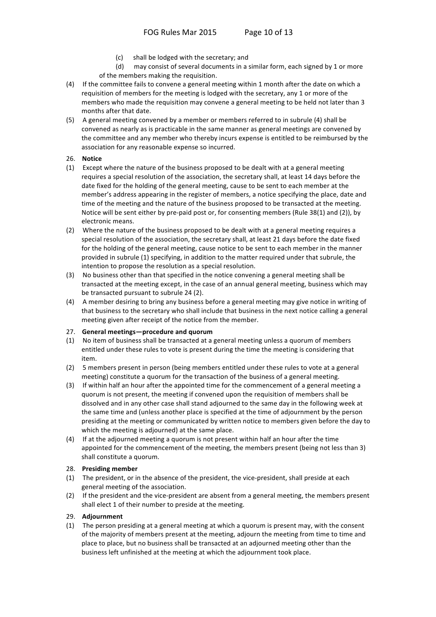- shall be lodged with the secretary; and  $(c)$
- may consist of several documents in a similar form, each signed by 1 or more  $(d)$ of the members making the requisition.
- (4) If the committee fails to convene a general meeting within 1 month after the date on which a requisition of members for the meeting is lodged with the secretary, any 1 or more of the members who made the requisition may convene a general meeting to be held not later than 3 months after that date.
- (5) A general meeting convened by a member or members referred to in subrule (4) shall be convened as nearly as is practicable in the same manner as general meetings are convened by the committee and any member who thereby incurs expense is entitled to be reimbursed by the association for any reasonable expense so incurred.

### 26. Notice

- (1) Except where the nature of the business proposed to be dealt with at a general meeting requires a special resolution of the association, the secretary shall, at least 14 days before the date fixed for the holding of the general meeting, cause to be sent to each member at the member's address appearing in the register of members, a notice specifying the place, date and time of the meeting and the nature of the business proposed to be transacted at the meeting. Notice will be sent either by pre-paid post or, for consenting members (Rule 38(1) and (2)), by electronic means.
- (2) Where the nature of the business proposed to be dealt with at a general meeting requires a special resolution of the association, the secretary shall, at least 21 days before the date fixed for the holding of the general meeting, cause notice to be sent to each member in the manner provided in subrule (1) specifying, in addition to the matter required under that subrule, the intention to propose the resolution as a special resolution.
- (3) No business other than that specified in the notice convening a general meeting shall be transacted at the meeting except, in the case of an annual general meeting, business which may be transacted pursuant to subrule 24 (2).
- (4) A member desiring to bring any business before a general meeting may give notice in writing of that business to the secretary who shall include that business in the next notice calling a general meeting given after receipt of the notice from the member.

### 27. General meetings-procedure and quorum

- (1) No item of business shall be transacted at a general meeting unless a quorum of members entitled under these rules to vote is present during the time the meeting is considering that item
- (2) 5 members present in person (being members entitled under these rules to vote at a general meeting) constitute a quorum for the transaction of the business of a general meeting.
- $(3)$ If within half an hour after the appointed time for the commencement of a general meeting a quorum is not present, the meeting if convened upon the requisition of members shall be dissolved and in any other case shall stand adjourned to the same day in the following week at the same time and (unless another place is specified at the time of adjournment by the person presiding at the meeting or communicated by written notice to members given before the day to which the meeting is adjourned) at the same place.
- (4) If at the adjourned meeting a quorum is not present within half an hour after the time appointed for the commencement of the meeting, the members present (being not less than 3) shall constitute a quorum.

### 28. Presiding member

- (1) The president, or in the absence of the president, the vice-president, shall preside at each general meeting of the association.
- (2) If the president and the vice-president are absent from a general meeting, the members present shall elect 1 of their number to preside at the meeting.

### 29. Adiournment

(1) The person presiding at a general meeting at which a quorum is present may, with the consent of the majority of members present at the meeting, adjourn the meeting from time to time and place to place, but no business shall be transacted at an adjourned meeting other than the business left unfinished at the meeting at which the adjournment took place.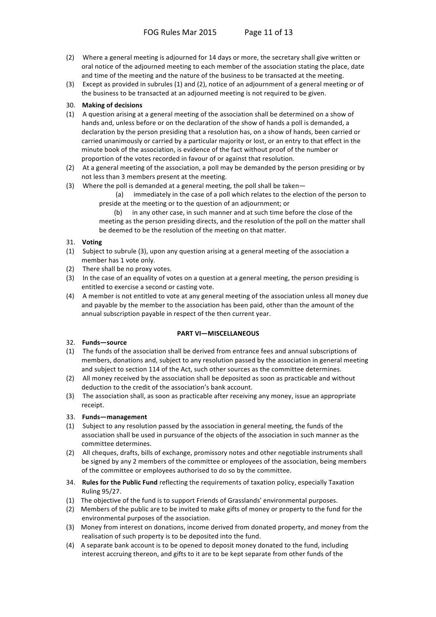- (2) Where a general meeting is adjourned for 14 days or more, the secretary shall give written or oral notice of the adjourned meeting to each member of the association stating the place, date and time of the meeting and the nature of the business to be transacted at the meeting.
- (3) Except as provided in subrules (1) and (2), notice of an adjournment of a general meeting or of the business to be transacted at an adjourned meeting is not required to be given.

### 30. Making of decisions

- (1) A question arising at a general meeting of the association shall be determined on a show of hands and, unless before or on the declaration of the show of hands a poll is demanded, a declaration by the person presiding that a resolution has, on a show of hands, been carried or carried unanimously or carried by a particular majority or lost, or an entry to that effect in the minute book of the association, is evidence of the fact without proof of the number or proportion of the votes recorded in favour of or against that resolution.
- (2) At a general meeting of the association, a poll may be demanded by the person presiding or by not less than 3 members present at the meeting.
- (3) Where the poll is demanded at a general meeting, the poll shall be taken-
	- $(a)$ immediately in the case of a poll which relates to the election of the person to preside at the meeting or to the question of an adjournment; or

in any other case, in such manner and at such time before the close of the  $(b)$ meeting as the person presiding directs, and the resolution of the poll on the matter shall be deemed to be the resolution of the meeting on that matter.

### 31. Voting

- (1) Subject to subrule (3), upon any question arising at a general meeting of the association a member has 1 vote only.
- (2) There shall be no proxy votes.
- (3) In the case of an equality of votes on a question at a general meeting, the person presiding is entitled to exercise a second or casting vote.
- (4) A member is not entitled to vote at any general meeting of the association unless all money due and payable by the member to the association has been paid, other than the amount of the annual subscription payable in respect of the then current year.

### **PART VI-MISCELLANEOUS**

- 32. Funds-source
- (1) The funds of the association shall be derived from entrance fees and annual subscriptions of members, donations and, subject to any resolution passed by the association in general meeting and subject to section 114 of the Act, such other sources as the committee determines.
- (2) All money received by the association shall be deposited as soon as practicable and without deduction to the credit of the association's bank account.
- (3) The association shall, as soon as practicable after receiving any money, issue an appropriate receipt.

### 33. Funds-management

- (1) Subject to any resolution passed by the association in general meeting, the funds of the association shall be used in pursuance of the objects of the association in such manner as the committee determines.
- (2) All cheques, drafts, bills of exchange, promissory notes and other negotiable instruments shall be signed by any 2 members of the committee or employees of the association, being members of the committee or employees authorised to do so by the committee.
- 34. Rules for the Public Fund reflecting the requirements of taxation policy, especially Taxation **Ruling 95/27.**
- (1) The objective of the fund is to support Friends of Grasslands' environmental purposes.
- (2) Members of the public are to be invited to make gifts of money or property to the fund for the environmental purposes of the association.
- (3) Money from interest on donations, income derived from donated property, and money from the realisation of such property is to be deposited into the fund.
- (4) A separate bank account is to be opened to deposit money donated to the fund, including interest accruing thereon, and gifts to it are to be kept separate from other funds of the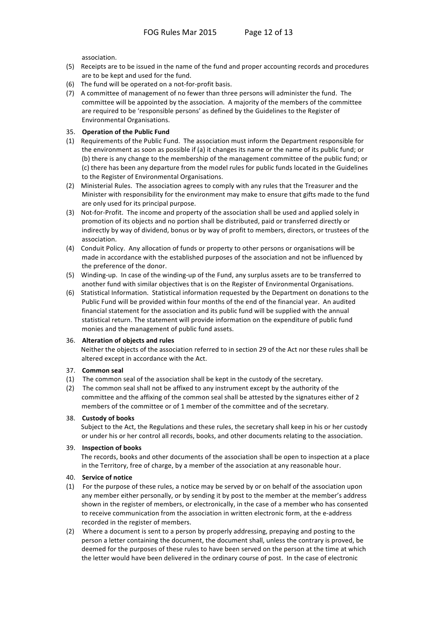association.

- (5) Receipts are to be issued in the name of the fund and proper accounting records and procedures are to be kept and used for the fund.
- (6) The fund will be operated on a not-for-profit basis.
- (7) A committee of management of no fewer than three persons will administer the fund. The committee will be appointed by the association. A majority of the members of the committee are required to be 'responsible persons' as defined by the Guidelines to the Register of Environmental Organisations.

### 35. Operation of the Public Fund

- (1) Requirements of the Public Fund. The association must inform the Department responsible for the environment as soon as possible if (a) it changes its name or the name of its public fund; or (b) there is any change to the membership of the management committee of the public fund; or (c) there has been any departure from the model rules for public funds located in the Guidelines to the Register of Environmental Organisations.
- (2) Ministerial Rules. The association agrees to comply with any rules that the Treasurer and the Minister with responsibility for the environment may make to ensure that gifts made to the fund are only used for its principal purpose.
- (3) Not-for-Profit. The income and property of the association shall be used and applied solely in promotion of its objects and no portion shall be distributed, paid or transferred directly or indirectly by way of dividend, bonus or by way of profit to members, directors, or trustees of the association.
- (4) Conduit Policy. Any allocation of funds or property to other persons or organisations will be made in accordance with the established purposes of the association and not be influenced by the preference of the donor.
- (5) Winding-up. In case of the winding-up of the Fund, any surplus assets are to be transferred to another fund with similar objectives that is on the Register of Environmental Organisations.
- (6) Statistical Information. Statistical information requested by the Department on donations to the Public Fund will be provided within four months of the end of the financial year. An audited financial statement for the association and its public fund will be supplied with the annual statistical return. The statement will provide information on the expenditure of public fund monies and the management of public fund assets.

### 36. Alteration of objects and rules

Neither the objects of the association referred to in section 29 of the Act nor these rules shall be altered except in accordance with the Act.

### 37. Common seal

- (1) The common seal of the association shall be kept in the custody of the secretary.
- (2) The common seal shall not be affixed to any instrument except by the authority of the committee and the affixing of the common seal shall be attested by the signatures either of 2 members of the committee or of 1 member of the committee and of the secretary.

### 38. Custody of books

Subject to the Act, the Regulations and these rules, the secretary shall keep in his or her custody or under his or her control all records, books, and other documents relating to the association.

### 39. Inspection of books

The records, books and other documents of the association shall be open to inspection at a place in the Territory, free of charge, by a member of the association at any reasonable hour.

### 40. Service of notice

- (1) For the purpose of these rules, a notice may be served by or on behalf of the association upon any member either personally, or by sending it by post to the member at the member's address shown in the register of members, or electronically, in the case of a member who has consented to receive communication from the association in written electronic form, at the e-address recorded in the register of members.
- (2) Where a document is sent to a person by properly addressing, prepaying and posting to the person a letter containing the document, the document shall, unless the contrary is proved, be deemed for the purposes of these rules to have been served on the person at the time at which the letter would have been delivered in the ordinary course of post. In the case of electronic